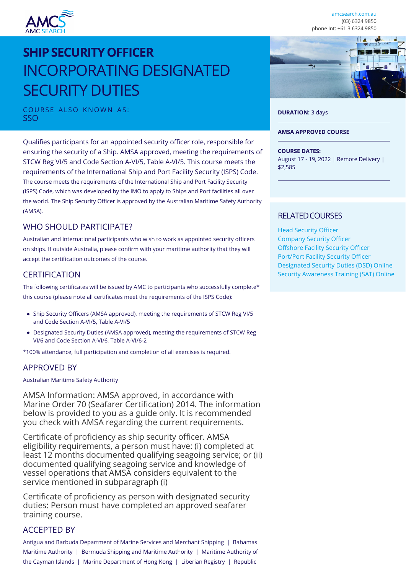

[amcsearch.com.au](https://www.amcsearch.com.au) (03) 6324 9850 phone Int: +61 3 6324 9850

# **SHIP SECURITY OFFICER** INCORPORATING DESIGNATED SECURITY DUTIES

COURSE ALSO KNOWN AS: SSO

Qualifies participants for an appointed security officer role, responsible for ensuring the security of a Ship. AMSA approved, meeting the requirements of STCW Reg VI/5 and Code Section A-VI/5, Table A-VI/5. This course meets the requirements of the International Ship and Port Facility Security (ISPS) Code. The course meets the requirements of the International Ship and Port Facility Security (ISPS) Code, which was developed by the IMO to apply to Ships and Port facilities all over the world. The Ship Security Officer is approved by the Australian Maritime Safety Authority (AMSA).

# WHO SHOULD PARTICIPATE?

Australian and international participants who wish to work as appointed security officers on ships. If outside Australia, please confirm with your maritime authority that they will accept the certification outcomes of the course.

# **CERTIFICATION**

The following certificates will be issued by AMC to participants who successfully complete\* this course (please note all certificates meet the requirements of the ISPS Code):

- Ship Security Officers (AMSA approved), meeting the requirements of STCW Reg VI/5 and Code Section A-VI/5, Table A-VI/5
- Designated Security Duties (AMSA approved), meeting the requirements of STCW Reg VI/6 and Code Section A-VI/6, Table A-VI/6-2

\*100% attendance, full participation and completion of all exercises is required.

## APPROVED BY

#### Australian Maritime Safety Authority

AMSA Information: AMSA approved, in accordance with Marine Order 70 (Seafarer Certification) 2014. The information below is provided to you as a guide only. It is recommended you check with AMSA regarding the current requirements.

Certificate of proficiency as ship security officer. AMSA eligibility requirements, a person must have: (i) completed at least 12 months documented qualifying seagoing service; or (ii) documented qualifying seagoing service and knowledge of vessel operations that AMSA considers equivalent to the service mentioned in subparagraph (i)

Certificate of proficiency as person with designated security duties: Person must have completed an approved seafarer training course.

# ACCEPTED BY

Antigua and Barbuda Department of Marine Services and Merchant Shipping | Bahamas Maritime Authority | Bermuda Shipping and Maritime Authority | Maritime Authority of the Cayman Islands | Marine Department of Hong Kong | Liberian Registry | Republic



#### **DURATION:** 3 days

#### **AMSA APPROVED COURSE**

#### **COURSE DATES:**

August 17 - 19, 2022 | Remote Delivery | \$2,585

## RELATED COURSES

[Head Security Officer](https://www.amcsearch.com.au/course/head-security-officer) [Company Security Officer](https://www.amcsearch.com.au/course/company-security-officer) [Offshore Facility Security Officer](https://www.amcsearch.com.au/course/offshore-facility-security-officer) [Port/Port Facility Security Officer](https://www.amcsearch.com.au/course/port-facility-security-officer) [Designated Security Duties \(DSD\) Online](https://www.amcsearch.com.au/course/designated-security-duties-online) [Security Awareness Training \(SAT\) Online](https://www.amcsearch.com.au/course/security-awareness-training-online)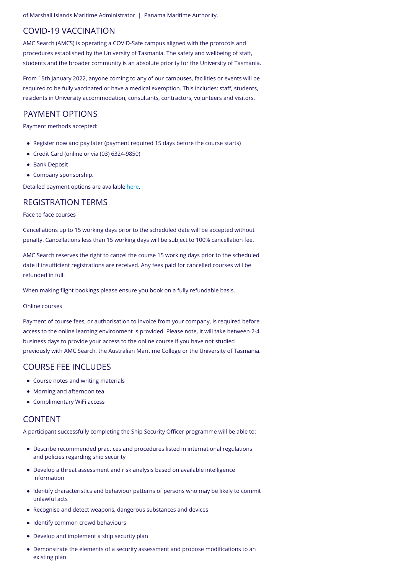of Marshall Islands Maritime Administrator | Panama Maritime Authority.

## COVID-19 VACCINATION

AMC Search (AMCS) is operating a COVID-Safe campus aligned with the protocols and procedures established by the University of Tasmania. The safety and wellbeing of staff, students and the broader community is an absolute priority for the University of Tasmania.

From 15th January 2022, anyone coming to any of our campuses, facilities or events will be required to be fully vaccinated or have a medical exemption. This includes: staff, students, residents in University accommodation, consultants, contractors, volunteers and visitors.

## PAYMENT OPTIONS

Payment methods accepted:

- Register now and pay later (payment required 15 days before the course starts)
- Credit Card (online or via (03) 6324-9850)
- Bank Deposit
- Company sponsorship.

Detailed payment options are available [here.](https://www.amcsearch.com.au/payment-options)

#### REGISTRATION TERMS

#### Face to face courses

Cancellations up to 15 working days prior to the scheduled date will be accepted without penalty. Cancellations less than 15 working days will be subject to 100% cancellation fee.

AMC Search reserves the right to cancel the course 15 working days prior to the scheduled date if insufficient registrations are received. Any fees paid for cancelled courses will be refunded in full.

When making flight bookings please ensure you book on a fully refundable basis.

#### Online courses

Payment of course fees, or authorisation to invoice from your company, is required before access to the online learning environment is provided. Please note, it will take between 2-4 business days to provide your access to the online course if you have not studied previously with AMC Search, the Australian Maritime College or the University of Tasmania.

## COURSE FEE INCLUDES

- Course notes and writing materials
- Morning and afternoon tea
- Complimentary WiFi access

## CONTENT

A participant successfully completing the Ship Security Officer programme will be able to:

- Describe recommended practices and procedures listed in international regulations and policies regarding ship security
- Develop a threat assessment and risk analysis based on available intelligence information
- Identify characteristics and behaviour patterns of persons who may be likely to commit unlawful acts
- Recognise and detect weapons, dangerous substances and devices
- Identify common crowd behaviours
- Develop and implement a ship security plan
- Demonstrate the elements of a security assessment and propose modifications to an existing plan